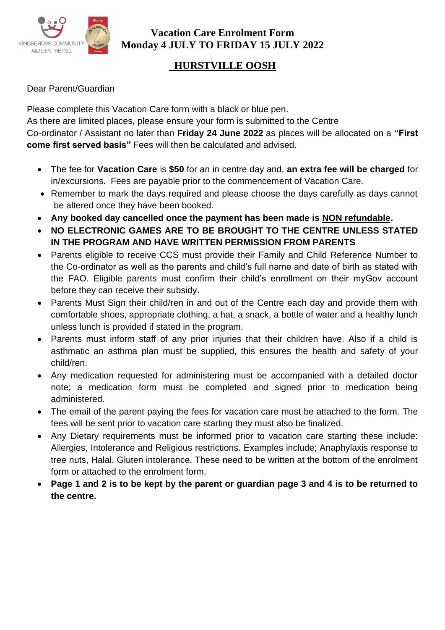

# **HURSTVILLE OOSH**

#### Dear Parent/Guardian

Please complete this Vacation Care form with a black or blue pen. As there are limited places, please ensure your form is submitted to the Centre Co-ordinator / Assistant no later than **Friday 24 June 2022** as places will be allocated on a **"First come first served basis"** Fees will then be calculated and advised.

- The fee for **Vacation Care** is **\$50** for an in centre day and, **an extra fee will be charged** for in/excursions. Fees are payable prior to the commencement of Vacation Care.
- Remember to mark the days required and please choose the days carefully as days cannot be altered once they have been booked.
- **Any booked day cancelled once the payment has been made is NON refundable.**
- **NO ELECTRONIC GAMES ARE TO BE BROUGHT TO THE CENTRE UNLESS STATED IN THE PROGRAM AND HAVE WRITTEN PERMISSION FROM PARENTS**
- Parents eligible to receive CCS must provide their Family and Child Reference Number to the Co-ordinator as well as the parents and child's full name and date of birth as stated with the FAO. Eligible parents must confirm their child's enrollment on their myGov account before they can receive their subsidy.
- Parents Must Sign their child/ren in and out of the Centre each day and provide them with comfortable shoes, appropriate clothing, a hat, a snack, a bottle of water and a healthy lunch unless lunch is provided if stated in the program.
- Parents must inform staff of any prior injuries that their children have. Also if a child is asthmatic an asthma plan must be supplied, this ensures the health and safety of your child/ren.
- Any medication requested for administering must be accompanied with a detailed doctor note; a medication form must be completed and signed prior to medication being administered.
- The email of the parent paying the fees for vacation care must be attached to the form. The fees will be sent prior to vacation care starting they must also be finalized.
- Any Dietary requirements must be informed prior to vacation care starting these include: Allergies, Intolerance and Religious restrictions. Examples include; Anaphylaxis response to tree nuts, Halal, Gluten intolerance. These need to be written at the bottom of the enrolment form or attached to the enrolment form.
- **Page 1 and 2 is to be kept by the parent or guardian page 3 and 4 is to be returned to the centre.**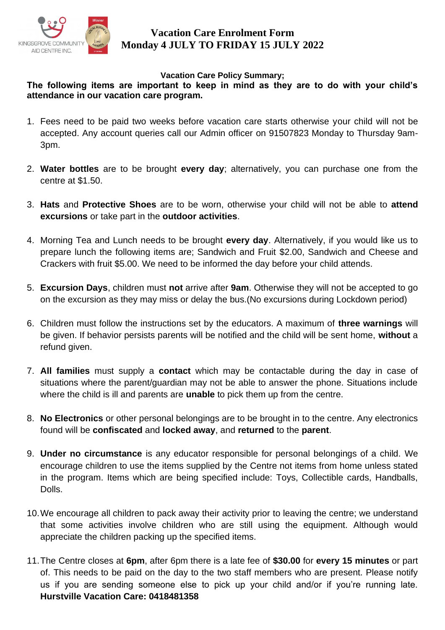

#### **Vacation Care Policy Summary;**

#### **The following items are important to keep in mind as they are to do with your child's attendance in our vacation care program.**

- 1. Fees need to be paid two weeks before vacation care starts otherwise your child will not be accepted. Any account queries call our Admin officer on 91507823 Monday to Thursday 9am-3pm.
- 2. **Water bottles** are to be brought **every day**; alternatively, you can purchase one from the centre at \$1.50.
- 3. **Hats** and **Protective Shoes** are to be worn, otherwise your child will not be able to **attend excursions** or take part in the **outdoor activities**.
- 4. Morning Tea and Lunch needs to be brought **every day**. Alternatively, if you would like us to prepare lunch the following items are; Sandwich and Fruit \$2.00, Sandwich and Cheese and Crackers with fruit \$5.00. We need to be informed the day before your child attends.
- 5. **Excursion Days**, children must **not** arrive after **9am**. Otherwise they will not be accepted to go on the excursion as they may miss or delay the bus.(No excursions during Lockdown period)
- 6. Children must follow the instructions set by the educators. A maximum of **three warnings** will be given. If behavior persists parents will be notified and the child will be sent home, **without** a refund given.
- 7. **All families** must supply a **contact** which may be contactable during the day in case of situations where the parent/guardian may not be able to answer the phone. Situations include where the child is ill and parents are **unable** to pick them up from the centre.
- 8. **No Electronics** or other personal belongings are to be brought in to the centre. Any electronics found will be **confiscated** and **locked away**, and **returned** to the **parent**.
- 9. **Under no circumstance** is any educator responsible for personal belongings of a child. We encourage children to use the items supplied by the Centre not items from home unless stated in the program. Items which are being specified include: Toys, Collectible cards, Handballs, Dolls.
- 10.We encourage all children to pack away their activity prior to leaving the centre; we understand that some activities involve children who are still using the equipment. Although would appreciate the children packing up the specified items.
- 11.The Centre closes at **6pm**, after 6pm there is a late fee of **\$30.00** for **every 15 minutes** or part of. This needs to be paid on the day to the two staff members who are present. Please notify us if you are sending someone else to pick up your child and/or if you're running late. **Hurstville Vacation Care: 0418481358**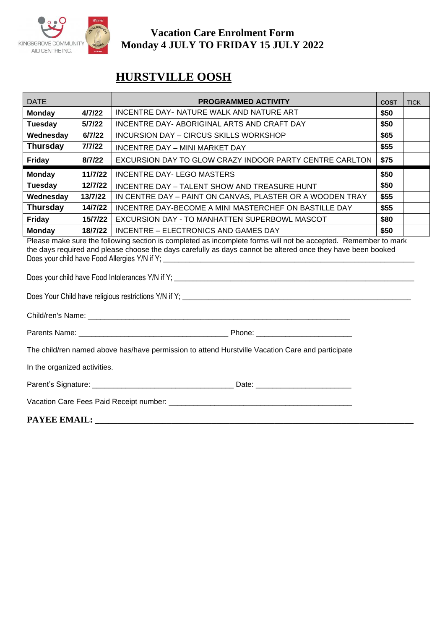

# **HURSTVILLE OOSH**

| <b>DATE</b>                                                                                                                                                                                                                                                                    |         | <b>PROGRAMMED ACTIVITY</b>                                | <b>COST</b> | <b>TICK</b> |  |
|--------------------------------------------------------------------------------------------------------------------------------------------------------------------------------------------------------------------------------------------------------------------------------|---------|-----------------------------------------------------------|-------------|-------------|--|
| <b>Monday</b>                                                                                                                                                                                                                                                                  | 4/7/22  | INCENTRE DAY- NATURE WALK AND NATURE ART                  | \$50        |             |  |
| <b>Tuesday</b>                                                                                                                                                                                                                                                                 | 5/7/22  | INCENTRE DAY-ABORIGINAL ARTS AND CRAFT DAY                | \$50        |             |  |
| Wednesday                                                                                                                                                                                                                                                                      | 6/7/22  | INCURSION DAY - CIRCUS SKILLS WORKSHOP                    | \$65        |             |  |
| <b>Thursday</b>                                                                                                                                                                                                                                                                | 7/7/22  | INCENTRE DAY - MINI MARKET DAY                            | \$55        |             |  |
| <b>Friday</b>                                                                                                                                                                                                                                                                  | 8/7/22  | EXCURSION DAY TO GLOW CRAZY INDOOR PARTY CENTRE CARLTON   | \$75        |             |  |
| <b>Monday</b>                                                                                                                                                                                                                                                                  | 11/7/22 | <b>INCENTRE DAY- LEGO MASTERS</b>                         | \$50        |             |  |
| <b>Tuesday</b>                                                                                                                                                                                                                                                                 | 12/7/22 | INCENTRE DAY - TALENT SHOW AND TREASURE HUNT              | \$50        |             |  |
| Wednesday                                                                                                                                                                                                                                                                      | 13/7/22 | IN CENTRE DAY - PAINT ON CANVAS, PLASTER OR A WOODEN TRAY | \$55        |             |  |
| <b>Thursday</b>                                                                                                                                                                                                                                                                | 14/7/22 | INCENTRE DAY-BECOME A MINI MASTERCHEF ON BASTILLE DAY     | \$55        |             |  |
| <b>Friday</b>                                                                                                                                                                                                                                                                  | 15/7/22 | EXCURSION DAY - TO MANHATTEN SUPERBOWL MASCOT             | \$80        |             |  |
| <b>Monday</b>                                                                                                                                                                                                                                                                  | 18/7/22 | INCENTRE - ELECTRONICS AND GAMES DAY                      | \$50        |             |  |
| Please make sure the following section is completed as incomplete forms will not be accepted. Remember to mark<br>the days required and please choose the days carefully as days cannot be altered once they have been booked<br>Does your child have Food Allergies Y/N if Y; |         |                                                           |             |             |  |

Does your child have Food Intolerances Y/N if Y; \_\_\_\_\_\_\_\_\_\_\_\_\_\_\_\_\_\_\_\_\_\_\_\_\_\_\_\_\_\_\_\_\_\_\_\_\_\_\_\_\_\_\_\_\_\_\_\_\_\_\_\_\_\_\_\_\_\_\_\_\_\_\_\_

Does Your Child have religious restrictions Y/N if Y; \_\_\_\_\_\_\_\_\_\_\_\_\_\_\_\_\_\_\_\_\_\_\_\_\_\_\_\_\_\_\_\_\_\_\_\_\_\_\_\_\_\_\_\_\_\_\_\_\_\_\_\_\_\_\_\_\_\_\_\_\_

Child/ren's Name: **We are all that the set of the set of the set of the set of the set of the set of the set of the set of the set of the set of the set of the set of the set of the set of the set of the set of the set of** 

| Parents<br>. Name: | 'hone |
|--------------------|-------|
|                    |       |

The child/ren named above has/have permission to attend Hurstville Vacation Care and participate

In the organized activities.

| Parent's Signature: |  |  |
|---------------------|--|--|
|---------------------|--|--|

Vacation Care Fees Paid Receipt number: \_\_\_\_\_\_\_\_\_\_\_\_\_\_\_\_\_\_\_\_\_\_\_\_\_\_\_\_\_\_\_\_\_\_\_\_\_\_\_\_\_\_\_\_

**PAYEE EMAIL: \_\_\_\_\_\_\_\_\_\_\_\_\_\_\_\_\_\_\_\_\_\_\_\_\_\_\_\_\_\_\_\_\_\_\_\_\_\_\_\_\_\_\_\_\_\_\_\_\_\_\_\_\_\_\_\_\_\_\_\_\_\_\_\_\_\_\_\_\_\_\_**